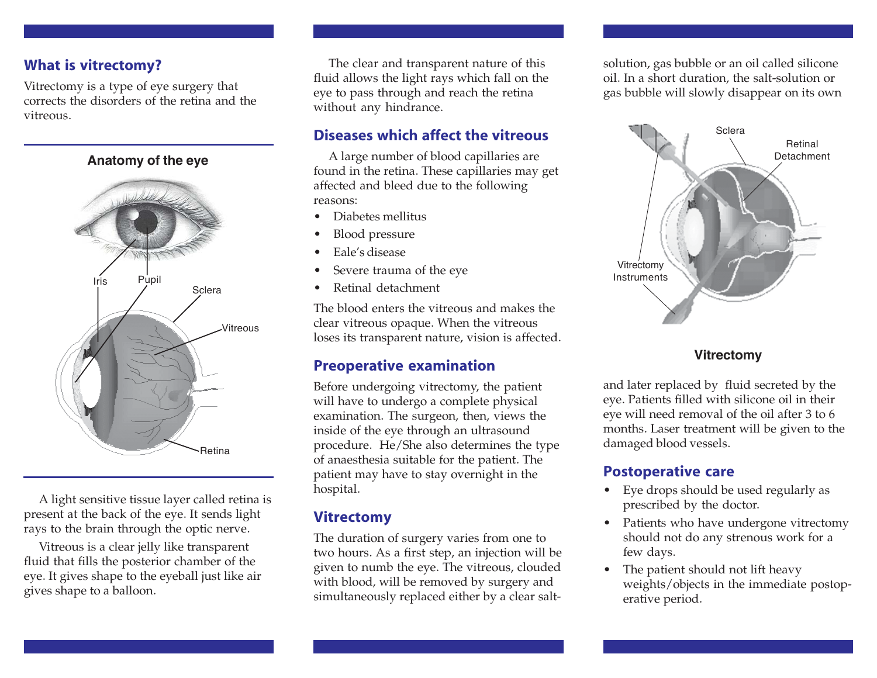## **What is vitrectomy?**

Vitrectomy is a type of eye surgery that corrects the disorders of the retina and the vitreous



A light sensitive tissue layer called retina is present at the back of the eye. It sends light rays to the brain through the optic nerve.

Vitreous is a clear jelly like transparent fluid that fills the posterior chamber of the eye. It gives shape to the eyeball just like air gives shape to a balloon.

The clear and transparent nature of this fluid allows the light rays which fall on the eye to pass through and reach the retina without any hindrance.

## **Diseases which affect the vitreous**

A large number of blood capillaries are found in the retina. These capillaries may get affected and bleed due to the following reasons:

- Diabetes mellitus
- Blood pressure
- Eale's disease
- Severe trauma of the eye
- Retinal detachment

The blood enters the vitreous and makes the clear vitreous opaque. When the vitreous loses its transparent nature, vision is affected.

## **Preoperative examination**

Before undergoing vitrectomy, the patient will have to undergo a complete physical examination. The surgeon, then, views the inside of the eye through an ultrasound procedure. He/She also determines the type of anaesthesia suitable for the patient. The patient may have to stay overnight in the hospital.

## **Vitrectomy**

The duration of surgery varies from one to two hours. As a first step, an injection will be given to numb the eye. The vitreous, clouded with blood, will be removed by surgery and simultaneously replaced either by a clear saltsolution, gas bubble or an oil called silicone oil. In a short duration, the salt-solution or gas bubble will slowly disappear on its own



#### **Vitrectomy**

and later replaced by fluid secreted by the eye. Patients filled with silicone oil in their eye will need removal of the oil after 3 to 6 months. Laser treatment will be given to the damaged blood vessels.

## **Postoperative care**

- Eye drops should be used regularly as prescribed by the doctor.
- Patients who have undergone vitrectomy should not do any strenous work for a few days.
- The patient should not lift heavy weights/objects in the immediate postoperative period.